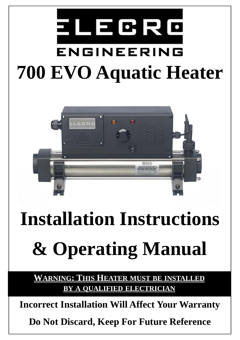# ELEGRO ENGINEERING **700 EVO Aquatic Heater**



## **Installation Instructions**

## **& Operating Manual**

**WARNING: THIS HEATER MUST BE INSTALLED BY A QUALIFIED ELECTRICIAN**

**Incorrect Installation Will Affect Your Warranty** 

**Do Not Discard, Keep For Future Reference**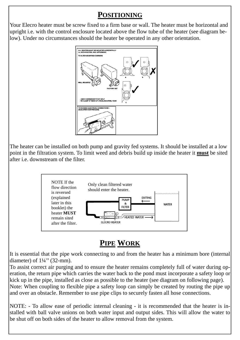## **POSITIONING**

Your Elecro heater must be screw fixed to a firm base or wall. The heater must be horizontal and upright i.e. with the control enclosure located above the flow tube of the heater (see diagram below). Under no circumstances should the heater be operated in any other orientation.



The heater can be installed on both pump and gravity fed systems. It should be installed at a low point in the filtration system. To limit weed and debris build up inside the heater it **must** be sited after i.e. downstream of the filter.



## **PIPE WORK**

It is essential that the pipe work connecting to and from the heater has a minimum bore (internal diameter) of  $1\frac{1}{4}$ " (32-mm).

To assist correct air purging and to ensure the heater remains completely full of water during operation, the return pipe which carries the water back to the pond must incorporate a safety loop or kick up in the pipe, installed as close as possible to the heater (see diagram on following page). Note: When coupling to flexible pipe a safety loop can simply be created by routing the pipe up and over an obstacle. Remember to use pipe clips to securely fasten all hose connections.

NOTE: - To allow ease of periodic internal cleaning - it is recommended that the heater is installed with ball valve unions on both water input and output sides. This will allow the water to be shut off on both sides of the heater to allow removal from the system.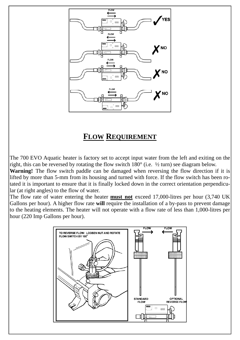

## **FLOW REQUIREMENT**

The 700 EVO Aquatic heater is factory set to accept input water from the left and exiting on the right, this can be reversed by rotating the flow switch 180° (i.e. ½ turn) see diagram below.

**Warning!** The flow switch paddle can be damaged when reversing the flow direction if it is lifted by more than 5-mm from its housing and turned with force. If the flow switch has been rotated it is important to ensure that it is finally locked down in the correct orientation perpendicular (at right angles) to the flow of water.

The flow rate of water entering the heater **must not** exceed 17,000-litres per hour (3,740 UK Gallons per hour). A higher flow rate **will** require the installation of a by-pass to prevent damage to the heating elements. The heater will not operate with a flow rate of less than 1,000-litres per hour (220 Imp Gallons per hour).

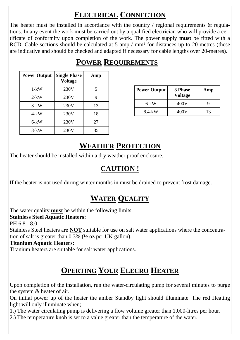## **ELECTRICAL CONNECTION**

The heater must be installed in accordance with the country / regional requirements  $\&$  regulations. In any event the work must be carried out by a qualified electrician who will provide a certificate of conformity upon completion of the work. The power supply **must** be fitted with a RCD. Cable sections should be calculated at 5-amp / mm<sup>2</sup> for distances up to 20-metres (these are indicative and should be checked and adapted if necessary for cable lengths over 20-metres).

| <b>Power Output</b> | <b>Single Phase</b><br><b>Voltage</b> | Amp |
|---------------------|---------------------------------------|-----|
| $1-kW$              | 230V                                  | 5   |
| $2-kW$              | 230V                                  | 9   |
| $3-kW$              | 230V                                  | 13  |
| $4-kW$              | 230V                                  | 18  |
| $6-kW$              | 230V                                  | 27  |
| 8-kW                | 230V                                  | 35  |

| <b>Power Output</b> | <b>3 Phase</b><br><b>Voltage</b> | Amp |
|---------------------|----------------------------------|-----|
| 6-kW                | 400V                             |     |
| 8.4-kW              | 400V                             | 13  |

## **POWER REQUIREMENTS**

### **WEATHER PROTECTION**

The heater should be installed within a dry weather proof enclosure.

### **CAUTION !**

If the heater is not used during winter months in must be drained to prevent frost damage.

## **WATER QUALITY**

The water quality **must** be within the following limits: **Stainless Steel Aquatic Heaters:**  PH 6.8 - 8.0

Stainless Steel heaters are **NOT** suitable for use on salt water applications where the concentration of salt is greater than 0.3% (½ oz per UK gallon).

#### **Titanium Aquatic Heaters:**

Titanium heaters are suitable for salt water applications.

## **OPERTING YOUR ELECRO HEATER**

Upon completion of the installation, run the water-circulating pump for several minutes to purge the system & heater of air.

On initial power up of the heater the amber Standby light should illuminate. The red Heating light will only illuminate when;

1.) The water circulating pump is delivering a flow volume greater than 1,000-litres per hour.

2.) The temperature knob is set to a value greater than the temperature of the water.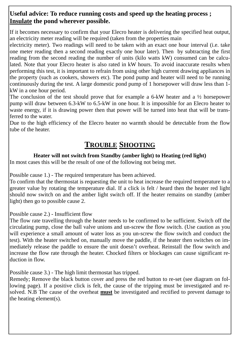#### **Useful advice: To reduce running costs and speed up the heating process ; Insulate the pond wherever possible.**

If it becomes necessary to confirm that your Elecro heater is delivering the specified heat output, an electricity meter reading will be required (taken from the properties main

electricity meter). Two readings will need to be taken with an exact one hour interval (i.e. take one meter reading then a second reading exactly one hour later). Then by subtracting the first reading from the second reading the number of units (kilo watts kW) consumed can be calculated. Note that your Elecro heater is also rated in kW hours. To avoid inaccurate results when performing this test, it is important to refrain from using other high current drawing appliances in the property (such as cookers, showers etc). The pond pump and heater will need to be running continuously during the test. A large domestic pond pump of 1 horsepower will draw less than 1 kW in a one hour period.

The conclusion of the test should prove that for example a 6-kW heater and a ½ horsepower pump will draw between 6.3-kW to 6.5-kW in one hour. It is impossible for an Elecro heater to waste energy, if it is drawing power then that power will be turned into heat that will be transferred to the water.

Due to the high efficiency of the Elecro heater no warmth should be detectable from the flow tube of the heater.

## **TROUBLE SHOOTING**

#### **Heater will not switch from Standby (amber light) to Heating (red light)**

In most cases this will be the result of one of the following not being met.

Possible cause 1.) - The required temperature has been achieved.

To confirm that the thermostat is requesting the unit to heat increase the required temperature to a greater value by rotating the temperature dial. If a click is felt / heard then the heater red light should now switch on and the amber light switch off. If the heater remains on standby (amber light) then go to possible cause 2.

Possible cause 2.) - Insufficient flow

The flow rate travelling through the heater needs to be confirmed to be sufficient. Switch off the circulating pump, close the ball valve unions and un-screw the flow switch. (Use caution as you will experience a small amount of water loss as you un-screw the flow switch and conduct the test). With the heater switched on, manually move the paddle, if the heater then switches on immediately release the paddle to ensure the unit doesn't overheat. Reinstall the flow switch and increase the flow rate through the heater. Chocked filters or blockages can cause significant reduction in flow.

Possible cause 3.) - The high limit thermostat has tripped.

Remedy; Remove the black button cover and press the red button to re-set (see diagram on following page). If a positive click is felt, the cause of the tripping must be investigated and resolved. N.B The cause of the overheat **must** be investigated and rectified to prevent damage to the heating element(s).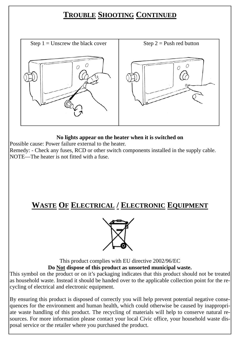## **TROUBLE SHOOTING CONTINUED**



#### **No lights appear on the heater when it is switched on**

Possible cause: Power failure external to the heater.

Remedy: - Check any fuses, RCD or other switch components installed in the supply cable. NOTE—The heater is not fitted with a fuse.

## **WASTE OF ELECTRICAL / ELECTRONIC EQUIPMENT**



This product complies with EU directive 2002/96/EC **Do Not dispose of this product as unsorted municipal waste.** 

This symbol on the product or on it's packaging indicates that this product should not be treated as household waste. Instead it should be handed over to the applicable collection point for the recycling of electrical and electronic equipment.

By ensuring this product is disposed of correctly you will help prevent potential negative consequences for the environment and human health, which could otherwise be caused by inappropriate waste handling of this product. The recycling of materials will help to conserve natural resources. For more information please contact your local Civic office, your household waste disposal service or the retailer where you purchased the product.